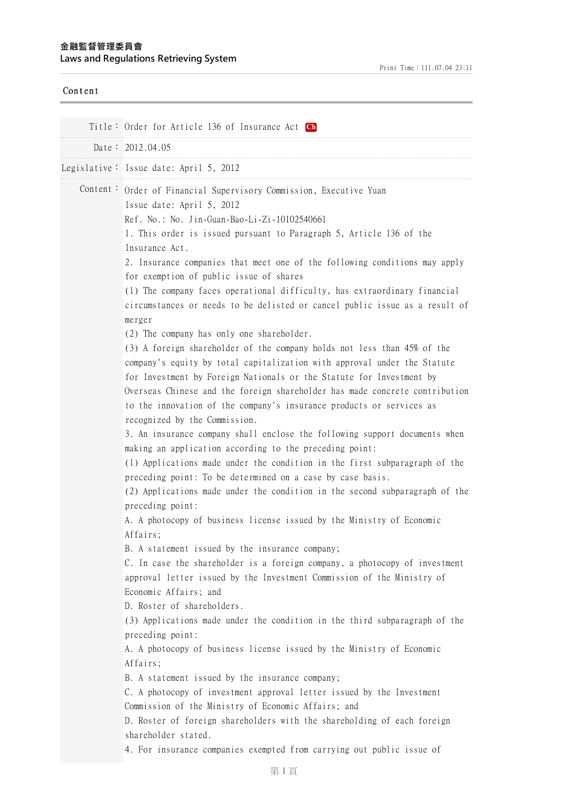## **⾦融監督管理委員會 Laws and Regulations Retrieving System**

| Content  |                                                                                                                                                                                                                                                                                                                                                                                                                                                                                                                                                                                                                                                                                                                                                                                                                                                                                                                                                                                                                                                                                                                                                                                                                                                                                                                                                                                                                                                                                                                                                                                                                                                                                                                                                                                                                                                                                                                                                                                                                                                                                                                                                                                                                                                                                                        |
|----------|--------------------------------------------------------------------------------------------------------------------------------------------------------------------------------------------------------------------------------------------------------------------------------------------------------------------------------------------------------------------------------------------------------------------------------------------------------------------------------------------------------------------------------------------------------------------------------------------------------------------------------------------------------------------------------------------------------------------------------------------------------------------------------------------------------------------------------------------------------------------------------------------------------------------------------------------------------------------------------------------------------------------------------------------------------------------------------------------------------------------------------------------------------------------------------------------------------------------------------------------------------------------------------------------------------------------------------------------------------------------------------------------------------------------------------------------------------------------------------------------------------------------------------------------------------------------------------------------------------------------------------------------------------------------------------------------------------------------------------------------------------------------------------------------------------------------------------------------------------------------------------------------------------------------------------------------------------------------------------------------------------------------------------------------------------------------------------------------------------------------------------------------------------------------------------------------------------------------------------------------------------------------------------------------------------|
|          | Title: Order for Article 136 of Insurance Act Ch<br>Date: 2012.04.05                                                                                                                                                                                                                                                                                                                                                                                                                                                                                                                                                                                                                                                                                                                                                                                                                                                                                                                                                                                                                                                                                                                                                                                                                                                                                                                                                                                                                                                                                                                                                                                                                                                                                                                                                                                                                                                                                                                                                                                                                                                                                                                                                                                                                                   |
|          | Legislative: Issue date: April 5, 2012                                                                                                                                                                                                                                                                                                                                                                                                                                                                                                                                                                                                                                                                                                                                                                                                                                                                                                                                                                                                                                                                                                                                                                                                                                                                                                                                                                                                                                                                                                                                                                                                                                                                                                                                                                                                                                                                                                                                                                                                                                                                                                                                                                                                                                                                 |
| Content: | Order of Financial Supervisory Commission, Executive Yuan<br>Issue date: April 5, 2012<br>Ref. No.: No. Jin-Guan-Bao-Li-Zi-10102540661<br>1. This order is issued pursuant to Paragraph 5, Article 136 of the<br>Insurance Act.<br>2. Insurance companies that meet one of the following conditions may apply<br>for exemption of public issue of shares<br>(1) The company faces operational difficulty, has extraordinary financial<br>circumstances or needs to be delisted or cancel public issue as a result of<br>merger<br>(2) The company has only one shareholder.<br>(3) A foreign shareholder of the company holds not less than 45% of the<br>company's equity by total capitalization with approval under the Statute<br>for Investment by Foreign Nationals or the Statute for Investment by<br>Overseas Chinese and the foreign shareholder has made concrete contribution<br>to the innovation of the company's insurance products or services as<br>recognized by the Commission.<br>3. An insurance company shall enclose the following support documents when<br>making an application according to the preceding point:<br>(1) Applications made under the condition in the first subparagraph of the<br>preceding point: To be determined on a case by case basis.<br>(2) Applications made under the condition in the second subparagraph of the<br>preceding point:<br>A. A photocopy of business license issued by the Ministry of Economic<br>Affairs;<br>B. A statement issued by the insurance company;<br>C. In case the shareholder is a foreign company, a photocopy of investment<br>approval letter issued by the Investment Commission of the Ministry of<br>Economic Affairs; and<br>D. Roster of shareholders.<br>(3) Applications made under the condition in the third subparagraph of the<br>preceding point:<br>A. A photocopy of business license issued by the Ministry of Economic<br>Affairs;<br>B. A statement issued by the insurance company;<br>C. A photocopy of investment approval letter issued by the Investment<br>Commission of the Ministry of Economic Affairs; and<br>D. Roster of foreign shareholders with the shareholding of each foreign<br>shareholder stated.<br>4. For insurance companies exempted from carrying out public issue of |